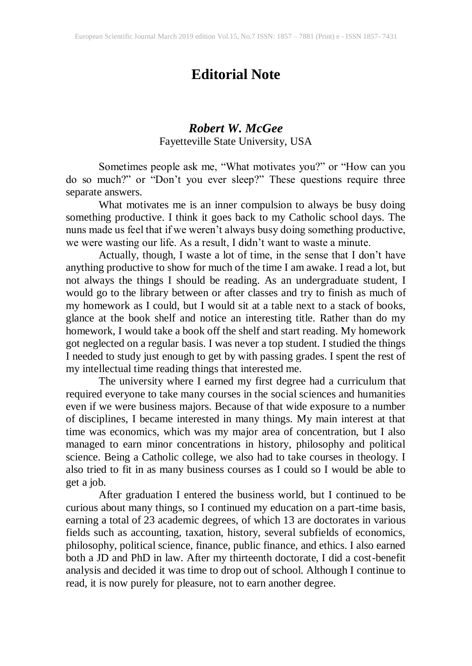## **Editorial Note**

## *Robert W. McGee* Fayetteville State University, USA

Sometimes people ask me, "What motivates you?" or "How can you do so much?" or "Don't you ever sleep?" These questions require three separate answers.

What motivates me is an inner compulsion to always be busy doing something productive. I think it goes back to my Catholic school days. The nuns made us feel that if we weren't always busy doing something productive, we were wasting our life. As a result, I didn't want to waste a minute.

Actually, though, I waste a lot of time, in the sense that I don't have anything productive to show for much of the time I am awake. I read a lot, but not always the things I should be reading. As an undergraduate student, I would go to the library between or after classes and try to finish as much of my homework as I could, but I would sit at a table next to a stack of books, glance at the book shelf and notice an interesting title. Rather than do my homework, I would take a book off the shelf and start reading. My homework got neglected on a regular basis. I was never a top student. I studied the things I needed to study just enough to get by with passing grades. I spent the rest of my intellectual time reading things that interested me.

The university where I earned my first degree had a curriculum that required everyone to take many courses in the social sciences and humanities even if we were business majors. Because of that wide exposure to a number of disciplines, I became interested in many things. My main interest at that time was economics, which was my major area of concentration, but I also managed to earn minor concentrations in history, philosophy and political science. Being a Catholic college, we also had to take courses in theology. I also tried to fit in as many business courses as I could so I would be able to get a job.

After graduation I entered the business world, but I continued to be curious about many things, so I continued my education on a part-time basis, earning a total of 23 academic degrees, of which 13 are doctorates in various fields such as accounting, taxation, history, several subfields of economics, philosophy, political science, finance, public finance, and ethics. I also earned both a JD and PhD in law. After my thirteenth doctorate, I did a cost-benefit analysis and decided it was time to drop out of school. Although I continue to read, it is now purely for pleasure, not to earn another degree.